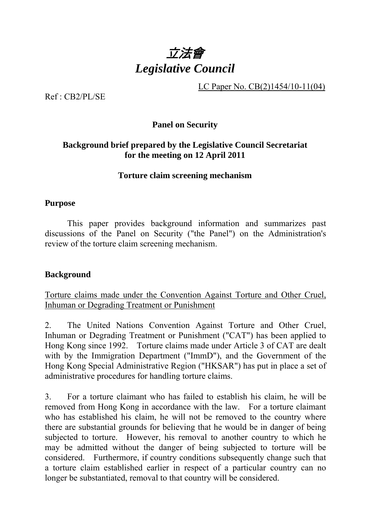

LC Paper No. CB(2)1454/10-11(04)

Ref : CB2/PL/SE

## **Panel on Security**

# **Background brief prepared by the Legislative Council Secretariat for the meeting on 12 April 2011**

### **Torture claim screening mechanism**

## **Purpose**

 This paper provides background information and summarizes past discussions of the Panel on Security ("the Panel") on the Administration's review of the torture claim screening mechanism.

# **Background**

Torture claims made under the Convention Against Torture and Other Cruel, Inhuman or Degrading Treatment or Punishment

2. The United Nations Convention Against Torture and Other Cruel, Inhuman or Degrading Treatment or Punishment ("CAT") has been applied to Hong Kong since 1992. Torture claims made under Article 3 of CAT are dealt with by the Immigration Department ("ImmD"), and the Government of the Hong Kong Special Administrative Region ("HKSAR") has put in place a set of administrative procedures for handling torture claims.

3. For a torture claimant who has failed to establish his claim, he will be removed from Hong Kong in accordance with the law. For a torture claimant who has established his claim, he will not be removed to the country where there are substantial grounds for believing that he would be in danger of being subjected to torture. However, his removal to another country to which he may be admitted without the danger of being subjected to torture will be considered. Furthermore, if country conditions subsequently change such that a torture claim established earlier in respect of a particular country can no longer be substantiated, removal to that country will be considered.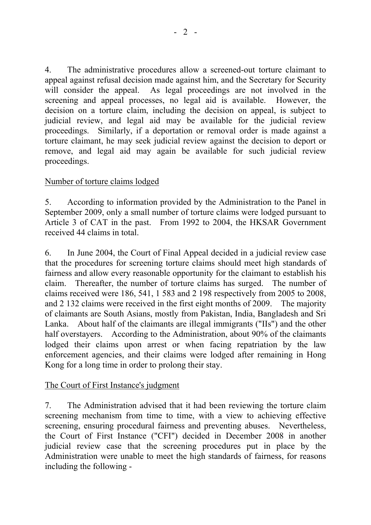4. The administrative procedures allow a screened-out torture claimant to appeal against refusal decision made against him, and the Secretary for Security will consider the appeal. As legal proceedings are not involved in the screening and appeal processes, no legal aid is available. However, the decision on a torture claim, including the decision on appeal, is subject to judicial review, and legal aid may be available for the judicial review proceedings. Similarly, if a deportation or removal order is made against a torture claimant, he may seek judicial review against the decision to deport or remove, and legal aid may again be available for such judicial review proceedings.

## Number of torture claims lodged

5. According to information provided by the Administration to the Panel in September 2009, only a small number of torture claims were lodged pursuant to Article 3 of CAT in the past. From 1992 to 2004, the HKSAR Government received 44 claims in total.

6. In June 2004, the Court of Final Appeal decided in a judicial review case that the procedures for screening torture claims should meet high standards of fairness and allow every reasonable opportunity for the claimant to establish his claim. Thereafter, the number of torture claims has surged. The number of claims received were 186, 541, 1 583 and 2 198 respectively from 2005 to 2008, and 2 132 claims were received in the first eight months of 2009. The majority of claimants are South Asians, mostly from Pakistan, India, Bangladesh and Sri Lanka. About half of the claimants are illegal immigrants ("IIs") and the other half overstayers. According to the Administration, about 90% of the claimants lodged their claims upon arrest or when facing repatriation by the law enforcement agencies, and their claims were lodged after remaining in Hong Kong for a long time in order to prolong their stay.

## The Court of First Instance's judgment

7. The Administration advised that it had been reviewing the torture claim screening mechanism from time to time, with a view to achieving effective screening, ensuring procedural fairness and preventing abuses. Nevertheless, the Court of First Instance ("CFI") decided in December 2008 in another judicial review case that the screening procedures put in place by the Administration were unable to meet the high standards of fairness, for reasons including the following -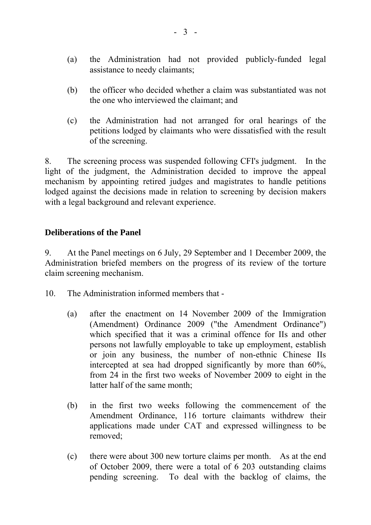- (a) the Administration had not provided publicly-funded legal assistance to needy claimants;
- (b) the officer who decided whether a claim was substantiated was not the one who interviewed the claimant; and
- (c) the Administration had not arranged for oral hearings of the petitions lodged by claimants who were dissatisfied with the result of the screening.

8. The screening process was suspended following CFI's judgment. In the light of the judgment, the Administration decided to improve the appeal mechanism by appointing retired judges and magistrates to handle petitions lodged against the decisions made in relation to screening by decision makers with a legal background and relevant experience.

## **Deliberations of the Panel**

9. At the Panel meetings on 6 July, 29 September and 1 December 2009, the Administration briefed members on the progress of its review of the torture claim screening mechanism.

- 10. The Administration informed members that
	- (a) after the enactment on 14 November 2009 of the Immigration (Amendment) Ordinance 2009 ("the Amendment Ordinance") which specified that it was a criminal offence for IIs and other persons not lawfully employable to take up employment, establish or join any business, the number of non-ethnic Chinese IIs intercepted at sea had dropped significantly by more than 60%, from 24 in the first two weeks of November 2009 to eight in the latter half of the same month;
	- (b) in the first two weeks following the commencement of the Amendment Ordinance, 116 torture claimants withdrew their applications made under CAT and expressed willingness to be removed;
	- (c) there were about 300 new torture claims per month. As at the end of October 2009, there were a total of 6 203 outstanding claims pending screening. To deal with the backlog of claims, the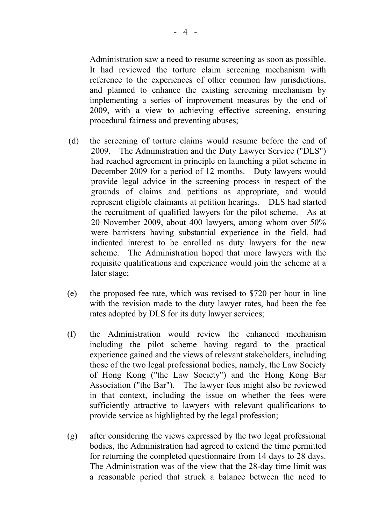Administration saw a need to resume screening as soon as possible. It had reviewed the torture claim screening mechanism with reference to the experiences of other common law jurisdictions, and planned to enhance the existing screening mechanism by implementing a series of improvement measures by the end of 2009, with a view to achieving effective screening, ensuring procedural fairness and preventing abuses;

- (d) the screening of torture claims would resume before the end of 2009. The Administration and the Duty Lawyer Service ("DLS") had reached agreement in principle on launching a pilot scheme in December 2009 for a period of 12 months. Duty lawyers would provide legal advice in the screening process in respect of the grounds of claims and petitions as appropriate, and would represent eligible claimants at petition hearings. DLS had started the recruitment of qualified lawyers for the pilot scheme. As at 20 November 2009, about 400 lawyers, among whom over 50% were barristers having substantial experience in the field, had indicated interest to be enrolled as duty lawyers for the new scheme. The Administration hoped that more lawyers with the requisite qualifications and experience would join the scheme at a later stage;
- (e) the proposed fee rate, which was revised to \$720 per hour in line with the revision made to the duty lawyer rates, had been the fee rates adopted by DLS for its duty lawyer services;
- (f) the Administration would review the enhanced mechanism including the pilot scheme having regard to the practical experience gained and the views of relevant stakeholders, including those of the two legal professional bodies, namely, the Law Society of Hong Kong ("the Law Society") and the Hong Kong Bar Association ("the Bar"). The lawyer fees might also be reviewed in that context, including the issue on whether the fees were sufficiently attractive to lawyers with relevant qualifications to provide service as highlighted by the legal profession;
- (g) after considering the views expressed by the two legal professional bodies, the Administration had agreed to extend the time permitted for returning the completed questionnaire from 14 days to 28 days. The Administration was of the view that the 28-day time limit was a reasonable period that struck a balance between the need to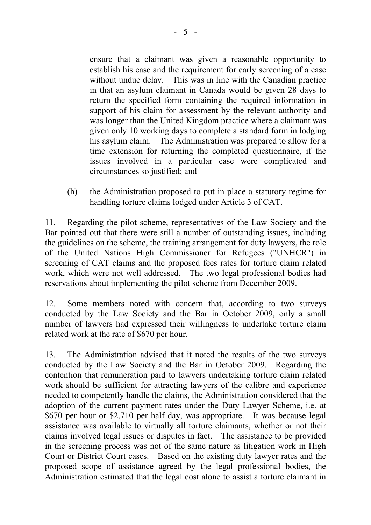ensure that a claimant was given a reasonable opportunity to establish his case and the requirement for early screening of a case without undue delay. This was in line with the Canadian practice in that an asylum claimant in Canada would be given 28 days to return the specified form containing the required information in support of his claim for assessment by the relevant authority and was longer than the United Kingdom practice where a claimant was given only 10 working days to complete a standard form in lodging his asylum claim. The Administration was prepared to allow for a time extension for returning the completed questionnaire, if the issues involved in a particular case were complicated and circumstances so justified; and

(h) the Administration proposed to put in place a statutory regime for handling torture claims lodged under Article 3 of CAT.

11. Regarding the pilot scheme, representatives of the Law Society and the Bar pointed out that there were still a number of outstanding issues, including the guidelines on the scheme, the training arrangement for duty lawyers, the role of the United Nations High Commissioner for Refugees ("UNHCR") in screening of CAT claims and the proposed fees rates for torture claim related work, which were not well addressed. The two legal professional bodies had reservations about implementing the pilot scheme from December 2009.

12. Some members noted with concern that, according to two surveys conducted by the Law Society and the Bar in October 2009, only a small number of lawyers had expressed their willingness to undertake torture claim related work at the rate of \$670 per hour.

13. The Administration advised that it noted the results of the two surveys conducted by the Law Society and the Bar in October 2009. Regarding the contention that remuneration paid to lawyers undertaking torture claim related work should be sufficient for attracting lawyers of the calibre and experience needed to competently handle the claims, the Administration considered that the adoption of the current payment rates under the Duty Lawyer Scheme, i.e. at \$670 per hour or \$2,710 per half day, was appropriate. It was because legal assistance was available to virtually all torture claimants, whether or not their claims involved legal issues or disputes in fact. The assistance to be provided in the screening process was not of the same nature as litigation work in High Court or District Court cases. Based on the existing duty lawyer rates and the proposed scope of assistance agreed by the legal professional bodies, the Administration estimated that the legal cost alone to assist a torture claimant in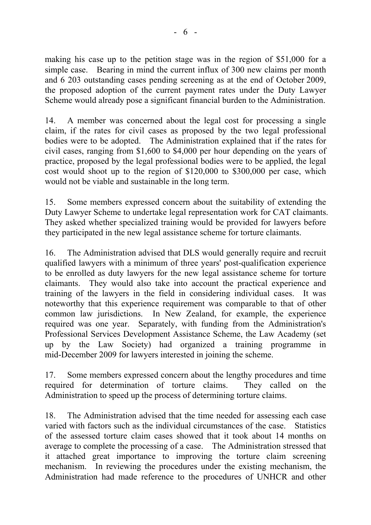making his case up to the petition stage was in the region of \$51,000 for a simple case. Bearing in mind the current influx of 300 new claims per month and 6 203 outstanding cases pending screening as at the end of October 2009, the proposed adoption of the current payment rates under the Duty Lawyer Scheme would already pose a significant financial burden to the Administration.

14. A member was concerned about the legal cost for processing a single claim, if the rates for civil cases as proposed by the two legal professional bodies were to be adopted. The Administration explained that if the rates for civil cases, ranging from \$1,600 to \$4,000 per hour depending on the years of practice, proposed by the legal professional bodies were to be applied, the legal cost would shoot up to the region of \$120,000 to \$300,000 per case, which would not be viable and sustainable in the long term.

15. Some members expressed concern about the suitability of extending the Duty Lawyer Scheme to undertake legal representation work for CAT claimants. They asked whether specialized training would be provided for lawyers before they participated in the new legal assistance scheme for torture claimants.

16. The Administration advised that DLS would generally require and recruit qualified lawyers with a minimum of three years' post-qualification experience to be enrolled as duty lawyers for the new legal assistance scheme for torture claimants. They would also take into account the practical experience and training of the lawyers in the field in considering individual cases. It was noteworthy that this experience requirement was comparable to that of other common law jurisdictions. In New Zealand, for example, the experience required was one year. Separately, with funding from the Administration's Professional Services Development Assistance Scheme, the Law Academy (set up by the Law Society) had organized a training programme in mid-December 2009 for lawyers interested in joining the scheme.

17. Some members expressed concern about the lengthy procedures and time required for determination of torture claims. They called on the Administration to speed up the process of determining torture claims.

18. The Administration advised that the time needed for assessing each case varied with factors such as the individual circumstances of the case. Statistics of the assessed torture claim cases showed that it took about 14 months on average to complete the processing of a case. The Administration stressed that it attached great importance to improving the torture claim screening mechanism. In reviewing the procedures under the existing mechanism, the Administration had made reference to the procedures of UNHCR and other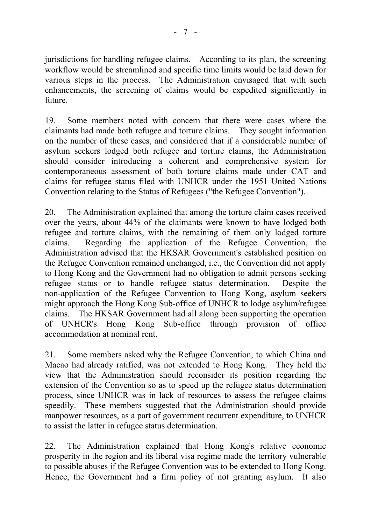jurisdictions for handling refugee claims. According to its plan, the screening workflow would be streamlined and specific time limits would be laid down for various steps in the process. The Administration envisaged that with such enhancements, the screening of claims would be expedited significantly in future.

19. Some members noted with concern that there were cases where the claimants had made both refugee and torture claims. They sought information on the number of these cases, and considered that if a considerable number of asylum seekers lodged both refugee and torture claims, the Administration should consider introducing a coherent and comprehensive system for contemporaneous assessment of both torture claims made under CAT and claims for refugee status filed with UNHCR under the 1951 United Nations Convention relating to the Status of Refugees ("the Refugee Convention").

20. The Administration explained that among the torture claim cases received over the years, about 44% of the claimants were known to have lodged both refugee and torture claims, with the remaining of them only lodged torture claims. Regarding the application of the Refugee Convention, the Administration advised that the HKSAR Government's established position on the Refugee Convention remained unchanged, i.e., the Convention did not apply to Hong Kong and the Government had no obligation to admit persons seeking refugee status or to handle refugee status determination. Despite the non-application of the Refugee Convention to Hong Kong, asylum seekers might approach the Hong Kong Sub-office of UNHCR to lodge asylum/refugee claims. The HKSAR Government had all along been supporting the operation of UNHCR's Hong Kong Sub-office through provision of office accommodation at nominal rent.

21. Some members asked why the Refugee Convention, to which China and Macao had already ratified, was not extended to Hong Kong. They held the view that the Administration should reconsider its position regarding the extension of the Convention so as to speed up the refugee status determination process, since UNHCR was in lack of resources to assess the refugee claims speedily. These members suggested that the Administration should provide manpower resources, as a part of government recurrent expenditure, to UNHCR to assist the latter in refugee status determination.

22. The Administration explained that Hong Kong's relative economic prosperity in the region and its liberal visa regime made the territory vulnerable to possible abuses if the Refugee Convention was to be extended to Hong Kong. Hence, the Government had a firm policy of not granting asylum. It also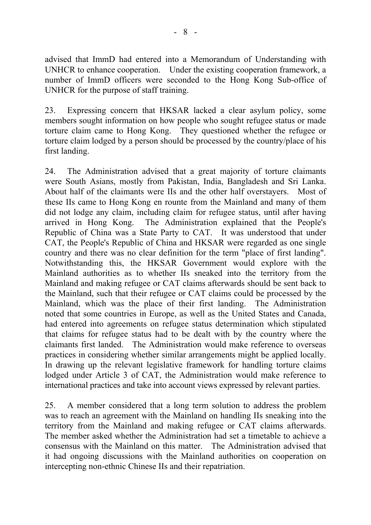advised that ImmD had entered into a Memorandum of Understanding with UNHCR to enhance cooperation. Under the existing cooperation framework, a number of ImmD officers were seconded to the Hong Kong Sub-office of UNHCR for the purpose of staff training.

23. Expressing concern that HKSAR lacked a clear asylum policy, some members sought information on how people who sought refugee status or made torture claim came to Hong Kong. They questioned whether the refugee or torture claim lodged by a person should be processed by the country/place of his first landing.

24. The Administration advised that a great majority of torture claimants were South Asians, mostly from Pakistan, India, Bangladesh and Sri Lanka. About half of the claimants were IIs and the other half overstayers. Most of these IIs came to Hong Kong en rounte from the Mainland and many of them did not lodge any claim, including claim for refugee status, until after having arrived in Hong Kong. The Administration explained that the People's Republic of China was a State Party to CAT. It was understood that under CAT, the People's Republic of China and HKSAR were regarded as one single country and there was no clear definition for the term "place of first landing". Notwithstanding this, the HKSAR Government would explore with the Mainland authorities as to whether IIs sneaked into the territory from the Mainland and making refugee or CAT claims afterwards should be sent back to the Mainland, such that their refugee or CAT claims could be processed by the Mainland, which was the place of their first landing. The Administration noted that some countries in Europe, as well as the United States and Canada, had entered into agreements on refugee status determination which stipulated that claims for refugee status had to be dealt with by the country where the claimants first landed. The Administration would make reference to overseas practices in considering whether similar arrangements might be applied locally. In drawing up the relevant legislative framework for handling torture claims lodged under Article 3 of CAT, the Administration would make reference to international practices and take into account views expressed by relevant parties.

25. A member considered that a long term solution to address the problem was to reach an agreement with the Mainland on handling IIs sneaking into the territory from the Mainland and making refugee or CAT claims afterwards. The member asked whether the Administration had set a timetable to achieve a consensus with the Mainland on this matter. The Administration advised that it had ongoing discussions with the Mainland authorities on cooperation on intercepting non-ethnic Chinese IIs and their repatriation.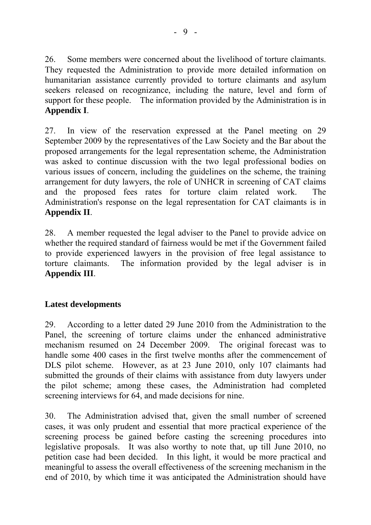26. Some members were concerned about the livelihood of torture claimants. They requested the Administration to provide more detailed information on humanitarian assistance currently provided to torture claimants and asylum seekers released on recognizance, including the nature, level and form of support for these people. The information provided by the Administration is in **Appendix I**.

27. In view of the reservation expressed at the Panel meeting on 29 September 2009 by the representatives of the Law Society and the Bar about the proposed arrangements for the legal representation scheme, the Administration was asked to continue discussion with the two legal professional bodies on various issues of concern, including the guidelines on the scheme, the training arrangement for duty lawyers, the role of UNHCR in screening of CAT claims and the proposed fees rates for torture claim related work. The Administration's response on the legal representation for CAT claimants is in **Appendix II**.

28. A member requested the legal adviser to the Panel to provide advice on whether the required standard of fairness would be met if the Government failed to provide experienced lawyers in the provision of free legal assistance to torture claimants. The information provided by the legal adviser is in **Appendix III**.

# **Latest developments**

29. According to a letter dated 29 June 2010 from the Administration to the Panel, the screening of torture claims under the enhanced administrative mechanism resumed on 24 December 2009. The original forecast was to handle some 400 cases in the first twelve months after the commencement of DLS pilot scheme. However, as at 23 June 2010, only 107 claimants had submitted the grounds of their claims with assistance from duty lawyers under the pilot scheme; among these cases, the Administration had completed screening interviews for 64, and made decisions for nine.

30. The Administration advised that, given the small number of screened cases, it was only prudent and essential that more practical experience of the screening process be gained before casting the screening procedures into legislative proposals. It was also worthy to note that, up till June 2010, no petition case had been decided. In this light, it would be more practical and meaningful to assess the overall effectiveness of the screening mechanism in the end of 2010, by which time it was anticipated the Administration should have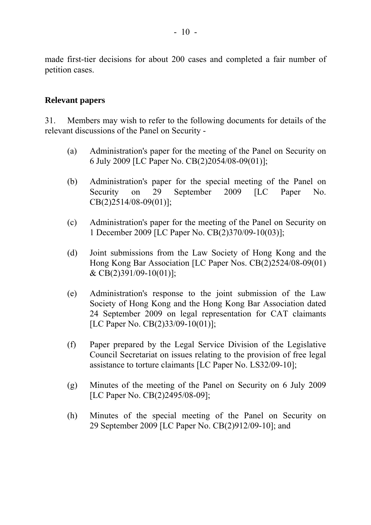made first-tier decisions for about 200 cases and completed a fair number of petition cases.

## **Relevant papers**

31. Members may wish to refer to the following documents for details of the relevant discussions of the Panel on Security -

- (a) Administration's paper for the meeting of the Panel on Security on 6 July 2009 [LC Paper No. CB(2)2054/08-09(01)];
- (b) Administration's paper for the special meeting of the Panel on Security on 29 September 2009 [LC Paper No. CB(2)2514/08-09(01)];
- (c) Administration's paper for the meeting of the Panel on Security on 1 December 2009 [LC Paper No. CB(2)370/09-10(03)];
- (d) Joint submissions from the Law Society of Hong Kong and the Hong Kong Bar Association [LC Paper Nos. CB(2)2524/08-09(01) & CB(2)391/09-10(01)];
- (e) Administration's response to the joint submission of the Law Society of Hong Kong and the Hong Kong Bar Association dated 24 September 2009 on legal representation for CAT claimants [LC Paper No. CB(2)33/09-10(01)];
- (f) Paper prepared by the Legal Service Division of the Legislative Council Secretariat on issues relating to the provision of free legal assistance to torture claimants [LC Paper No. LS32/09-10];
- (g) Minutes of the meeting of the Panel on Security on 6 July 2009 [LC Paper No. CB(2)2495/08-09];
- (h) Minutes of the special meeting of the Panel on Security on 29 September 2009 [LC Paper No. CB(2)912/09-10]; and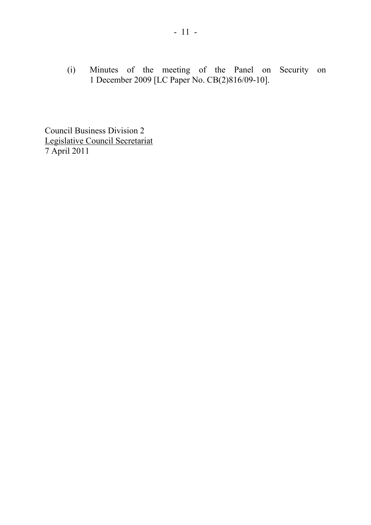(i) Minutes of the meeting of the Panel on Security on 1 December 2009 [LC Paper No. CB(2)816/09-10].

Council Business Division 2 Legislative Council Secretariat 7 April 2011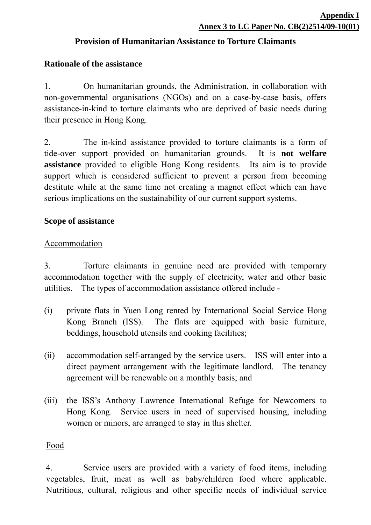# **Provision of Humanitarian Assistance to Torture Claimants**

# **Rationale of the assistance**

1. On humanitarian grounds, the Administration, in collaboration with non-governmental organisations (NGOs) and on a case-by-case basis, offers assistance-in-kind to torture claimants who are deprived of basic needs during their presence in Hong Kong.

2. The in-kind assistance provided to torture claimants is a form of tide-over support provided on humanitarian grounds. It is **not welfare assistance** provided to eligible Hong Kong residents. Its aim is to provide support which is considered sufficient to prevent a person from becoming destitute while at the same time not creating a magnet effect which can have serious implications on the sustainability of our current support systems.

## **Scope of assistance**

## Accommodation

3. Torture claimants in genuine need are provided with temporary accommodation together with the supply of electricity, water and other basic utilities. The types of accommodation assistance offered include -

- (i) private flats in Yuen Long rented by International Social Service Hong Kong Branch (ISS). The flats are equipped with basic furniture, beddings, household utensils and cooking facilities;
- (ii) accommodation self-arranged by the service users. ISS will enter into a direct payment arrangement with the legitimate landlord. The tenancy agreement will be renewable on a monthly basis; and
- (iii) the ISS's Anthony Lawrence International Refuge for Newcomers to Hong Kong. Service users in need of supervised housing, including women or minors, are arranged to stay in this shelter.

## Food

4. Service users are provided with a variety of food items, including vegetables, fruit, meat as well as baby/children food where applicable. Nutritious, cultural, religious and other specific needs of individual service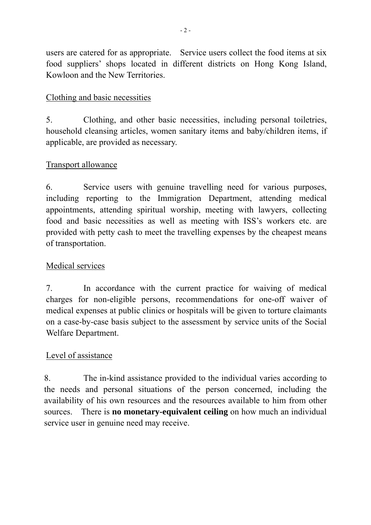users are catered for as appropriate. Service users collect the food items at six food suppliers' shops located in different districts on Hong Kong Island, Kowloon and the New Territories.

# Clothing and basic necessities

5. Clothing, and other basic necessities, including personal toiletries, household cleansing articles, women sanitary items and baby/children items, if applicable, are provided as necessary.

# Transport allowance

6. Service users with genuine travelling need for various purposes, including reporting to the Immigration Department, attending medical appointments, attending spiritual worship, meeting with lawyers, collecting food and basic necessities as well as meeting with ISS's workers etc. are provided with petty cash to meet the travelling expenses by the cheapest means of transportation.

# Medical services

7. In accordance with the current practice for waiving of medical charges for non-eligible persons, recommendations for one-off waiver of medical expenses at public clinics or hospitals will be given to torture claimants on a case-by-case basis subject to the assessment by service units of the Social Welfare Department.

# Level of assistance

8. The in-kind assistance provided to the individual varies according to the needs and personal situations of the person concerned, including the availability of his own resources and the resources available to him from other sources. There is **no monetary-equivalent ceiling** on how much an individual service user in genuine need may receive.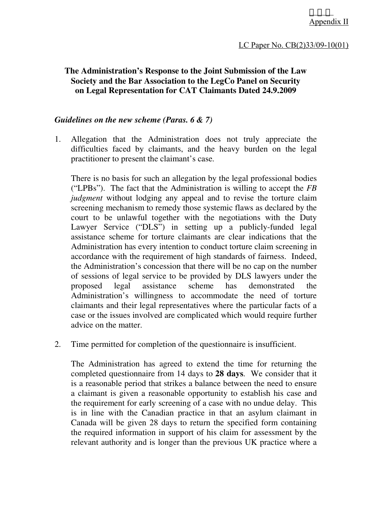## **The Administration's Response to the Joint Submission of the Law Society and the Bar Association to the LegCo Panel on Security on Legal Representation for CAT Claimants Dated 24.9.2009**

#### *Guidelines on the new scheme (Paras. 6 & 7)*

1. Allegation that the Administration does not truly appreciate the difficulties faced by claimants, and the heavy burden on the legal practitioner to present the claimant's case.

 There is no basis for such an allegation by the legal professional bodies ("LPBs"). The fact that the Administration is willing to accept the *FB judgment* without lodging any appeal and to revise the torture claim screening mechanism to remedy those systemic flaws as declared by the court to be unlawful together with the negotiations with the Duty Lawyer Service ("DLS") in setting up a publicly-funded legal assistance scheme for torture claimants are clear indications that the Administration has every intention to conduct torture claim screening in accordance with the requirement of high standards of fairness. Indeed, the Administration's concession that there will be no cap on the number of sessions of legal service to be provided by DLS lawyers under the proposed legal assistance scheme has demonstrated the Administration's willingness to accommodate the need of torture claimants and their legal representatives where the particular facts of a case or the issues involved are complicated which would require further advice on the matter.

2. Time permitted for completion of the questionnaire is insufficient.

 The Administration has agreed to extend the time for returning the completed questionnaire from 14 days to **28 days**. We consider that it is a reasonable period that strikes a balance between the need to ensure a claimant is given a reasonable opportunity to establish his case and the requirement for early screening of a case with no undue delay. This is in line with the Canadian practice in that an asylum claimant in Canada will be given 28 days to return the specified form containing the required information in support of his claim for assessment by the relevant authority and is longer than the previous UK practice where a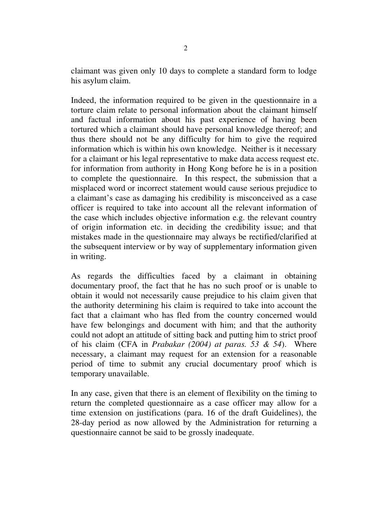claimant was given only 10 days to complete a standard form to lodge his asylum claim.

 Indeed, the information required to be given in the questionnaire in a torture claim relate to personal information about the claimant himself and factual information about his past experience of having been tortured which a claimant should have personal knowledge thereof; and thus there should not be any difficulty for him to give the required information which is within his own knowledge. Neither is it necessary for a claimant or his legal representative to make data access request etc. for information from authority in Hong Kong before he is in a position to complete the questionnaire. In this respect, the submission that a misplaced word or incorrect statement would cause serious prejudice to a claimant's case as damaging his credibility is misconceived as a case officer is required to take into account all the relevant information of the case which includes objective information e.g. the relevant country of origin information etc. in deciding the credibility issue; and that mistakes made in the questionnaire may always be rectified/clarified at the subsequent interview or by way of supplementary information given in writing.

 As regards the difficulties faced by a claimant in obtaining documentary proof, the fact that he has no such proof or is unable to obtain it would not necessarily cause prejudice to his claim given that the authority determining his claim is required to take into account the fact that a claimant who has fled from the country concerned would have few belongings and document with him; and that the authority could not adopt an attitude of sitting back and putting him to strict proof of his claim (CFA in *Prabakar (2004) at paras. 53 & 54*). Where necessary, a claimant may request for an extension for a reasonable period of time to submit any crucial documentary proof which is temporary unavailable.

 In any case, given that there is an element of flexibility on the timing to return the completed questionnaire as a case officer may allow for a time extension on justifications (para. 16 of the draft Guidelines), the 28-day period as now allowed by the Administration for returning a questionnaire cannot be said to be grossly inadequate.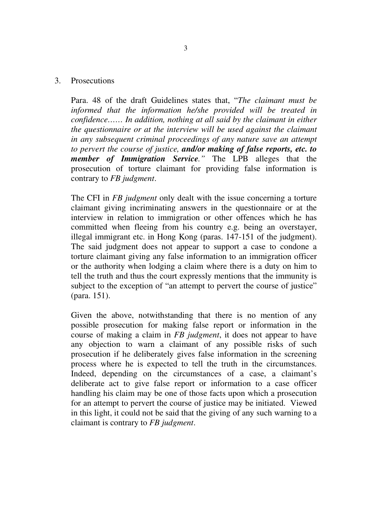#### 3. Prosecutions

 Para. 48 of the draft Guidelines states that, "*The claimant must be informed that the information he/she provided will be treated in confidence…… In addition, nothing at all said by the claimant in either the questionnaire or at the interview will be used against the claimant in any subsequent criminal proceedings of any nature save an attempt to pervert the course of justice, and/or making of false reports, etc. to member of Immigration Service."* The LPB alleges that the prosecution of torture claimant for providing false information is contrary to *FB judgment*.

 The CFI in *FB judgment* only dealt with the issue concerning a torture claimant giving incriminating answers in the questionnaire or at the interview in relation to immigration or other offences which he has committed when fleeing from his country e.g. being an overstayer, illegal immigrant etc. in Hong Kong (paras. 147-151 of the judgment). The said judgment does not appear to support a case to condone a torture claimant giving any false information to an immigration officer or the authority when lodging a claim where there is a duty on him to tell the truth and thus the court expressly mentions that the immunity is subject to the exception of "an attempt to pervert the course of justice" (para. 151).

 Given the above, notwithstanding that there is no mention of any possible prosecution for making false report or information in the course of making a claim in *FB judgment*, it does not appear to have any objection to warn a claimant of any possible risks of such prosecution if he deliberately gives false information in the screening process where he is expected to tell the truth in the circumstances. Indeed, depending on the circumstances of a case, a claimant's deliberate act to give false report or information to a case officer handling his claim may be one of those facts upon which a prosecution for an attempt to pervert the course of justice may be initiated. Viewed in this light, it could not be said that the giving of any such warning to a claimant is contrary to *FB judgment*.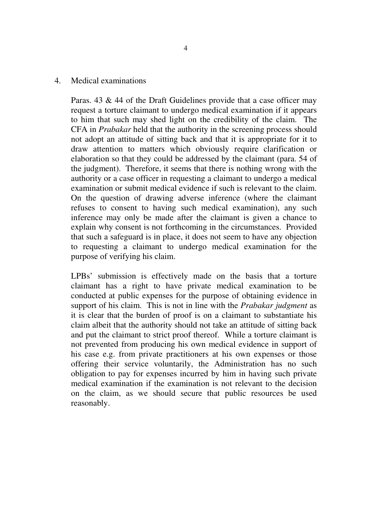#### 4. Medical examinations

 Paras. 43 & 44 of the Draft Guidelines provide that a case officer may request a torture claimant to undergo medical examination if it appears to him that such may shed light on the credibility of the claim. The CFA in *Prabakar* held that the authority in the screening process should not adopt an attitude of sitting back and that it is appropriate for it to draw attention to matters which obviously require clarification or elaboration so that they could be addressed by the claimant (para. 54 of the judgment). Therefore, it seems that there is nothing wrong with the authority or a case officer in requesting a claimant to undergo a medical examination or submit medical evidence if such is relevant to the claim. On the question of drawing adverse inference (where the claimant refuses to consent to having such medical examination), any such inference may only be made after the claimant is given a chance to explain why consent is not forthcoming in the circumstances. Provided that such a safeguard is in place, it does not seem to have any objection to requesting a claimant to undergo medical examination for the purpose of verifying his claim.

 LPBs' submission is effectively made on the basis that a torture claimant has a right to have private medical examination to be conducted at public expenses for the purpose of obtaining evidence in support of his claim. This is not in line with the *Prabakar judgment* as it is clear that the burden of proof is on a claimant to substantiate his claim albeit that the authority should not take an attitude of sitting back and put the claimant to strict proof thereof. While a torture claimant is not prevented from producing his own medical evidence in support of his case e.g. from private practitioners at his own expenses or those offering their service voluntarily, the Administration has no such obligation to pay for expenses incurred by him in having such private medical examination if the examination is not relevant to the decision on the claim, as we should secure that public resources be used reasonably.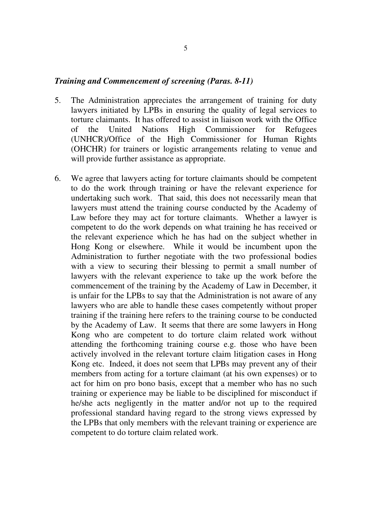#### *Training and Commencement of screening (Paras. 8-11)*

- 5. The Administration appreciates the arrangement of training for duty lawyers initiated by LPBs in ensuring the quality of legal services to torture claimants. It has offered to assist in liaison work with the Office of the United Nations High Commissioner for Refugees (UNHCR)/Office of the High Commissioner for Human Rights (OHCHR) for trainers or logistic arrangements relating to venue and will provide further assistance as appropriate.
- 6. We agree that lawyers acting for torture claimants should be competent to do the work through training or have the relevant experience for undertaking such work. That said, this does not necessarily mean that lawyers must attend the training course conducted by the Academy of Law before they may act for torture claimants. Whether a lawyer is competent to do the work depends on what training he has received or the relevant experience which he has had on the subject whether in Hong Kong or elsewhere. While it would be incumbent upon the Administration to further negotiate with the two professional bodies with a view to securing their blessing to permit a small number of lawyers with the relevant experience to take up the work before the commencement of the training by the Academy of Law in December, it is unfair for the LPBs to say that the Administration is not aware of any lawyers who are able to handle these cases competently without proper training if the training here refers to the training course to be conducted by the Academy of Law. It seems that there are some lawyers in Hong Kong who are competent to do torture claim related work without attending the forthcoming training course e.g. those who have been actively involved in the relevant torture claim litigation cases in Hong Kong etc. Indeed, it does not seem that LPBs may prevent any of their members from acting for a torture claimant (at his own expenses) or to act for him on pro bono basis, except that a member who has no such training or experience may be liable to be disciplined for misconduct if he/she acts negligently in the matter and/or not up to the required professional standard having regard to the strong views expressed by the LPBs that only members with the relevant training or experience are competent to do torture claim related work.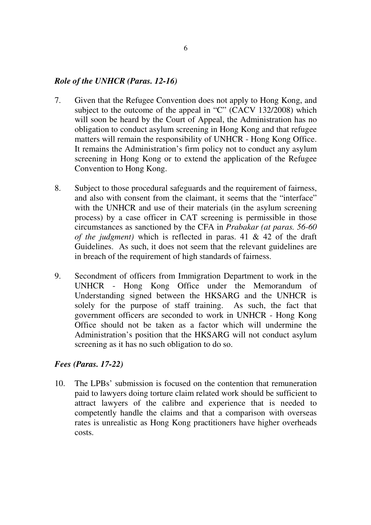#### *Role of the UNHCR (Paras. 12-16)*

- 7. Given that the Refugee Convention does not apply to Hong Kong, and subject to the outcome of the appeal in "C" (CACV 132/2008) which will soon be heard by the Court of Appeal, the Administration has no obligation to conduct asylum screening in Hong Kong and that refugee matters will remain the responsibility of UNHCR - Hong Kong Office. It remains the Administration's firm policy not to conduct any asylum screening in Hong Kong or to extend the application of the Refugee Convention to Hong Kong.
- 8. Subject to those procedural safeguards and the requirement of fairness, and also with consent from the claimant, it seems that the "interface" with the UNHCR and use of their materials (in the asylum screening process) by a case officer in CAT screening is permissible in those circumstances as sanctioned by the CFA in *Prabakar (at paras. 56-60 of the judgment)* which is reflected in paras. 41 & 42 of the draft Guidelines. As such, it does not seem that the relevant guidelines are in breach of the requirement of high standards of fairness.
- 9. Secondment of officers from Immigration Department to work in the UNHCR - Hong Kong Office under the Memorandum of Understanding signed between the HKSARG and the UNHCR is solely for the purpose of staff training. As such, the fact that government officers are seconded to work in UNHCR - Hong Kong Office should not be taken as a factor which will undermine the Administration's position that the HKSARG will not conduct asylum screening as it has no such obligation to do so.

#### *Fees (Paras. 17-22)*

10. The LPBs' submission is focused on the contention that remuneration paid to lawyers doing torture claim related work should be sufficient to attract lawyers of the calibre and experience that is needed to competently handle the claims and that a comparison with overseas rates is unrealistic as Hong Kong practitioners have higher overheads costs.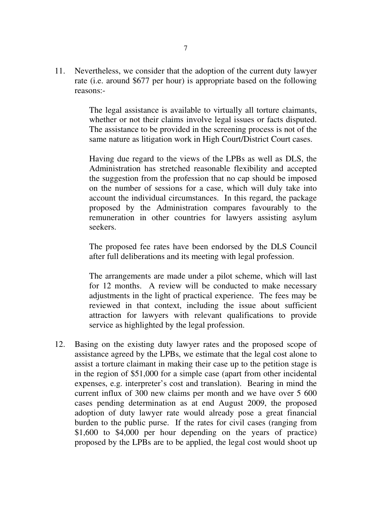11. Nevertheless, we consider that the adoption of the current duty lawyer rate (i.e. around \$677 per hour) is appropriate based on the following reasons:-

> The legal assistance is available to virtually all torture claimants, whether or not their claims involve legal issues or facts disputed. The assistance to be provided in the screening process is not of the same nature as litigation work in High Court/District Court cases.

> Having due regard to the views of the LPBs as well as DLS, the Administration has stretched reasonable flexibility and accepted the suggestion from the profession that no cap should be imposed on the number of sessions for a case, which will duly take into account the individual circumstances. In this regard, the package proposed by the Administration compares favourably to the remuneration in other countries for lawyers assisting asylum seekers.

> The proposed fee rates have been endorsed by the DLS Council after full deliberations and its meeting with legal profession.

> The arrangements are made under a pilot scheme, which will last for 12 months. A review will be conducted to make necessary adjustments in the light of practical experience. The fees may be reviewed in that context, including the issue about sufficient attraction for lawyers with relevant qualifications to provide service as highlighted by the legal profession.

12. Basing on the existing duty lawyer rates and the proposed scope of assistance agreed by the LPBs, we estimate that the legal cost alone to assist a torture claimant in making their case up to the petition stage is in the region of \$51,000 for a simple case (apart from other incidental expenses, e.g. interpreter's cost and translation). Bearing in mind the current influx of 300 new claims per month and we have over 5 600 cases pending determination as at end August 2009, the proposed adoption of duty lawyer rate would already pose a great financial burden to the public purse. If the rates for civil cases (ranging from \$1,600 to \$4,000 per hour depending on the years of practice) proposed by the LPBs are to be applied, the legal cost would shoot up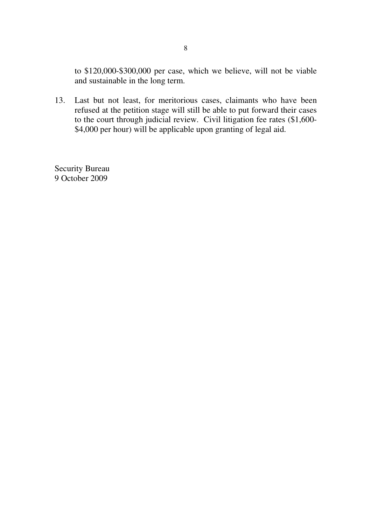to \$120,000-\$300,000 per case, which we believe, will not be viable and sustainable in the long term.

13. Last but not least, for meritorious cases, claimants who have been refused at the petition stage will still be able to put forward their cases to the court through judicial review. Civil litigation fee rates (\$1,600- \$4,000 per hour) will be applicable upon granting of legal aid.

Security Bureau 9 October 2009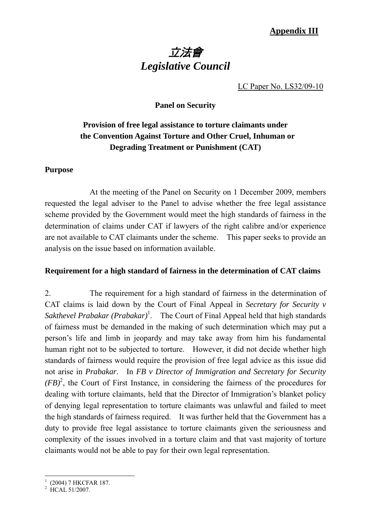# 立法會 *Legislative Council*

LC Paper No. LS32/09-10

#### **Panel on Security**

# **Provision of free legal assistance to torture claimants under the Convention Against Torture and Other Cruel, Inhuman or Degrading Treatment or Punishment (CAT)**

#### **Purpose**

At the meeting of the Panel on Security on 1 December 2009, members requested the legal adviser to the Panel to advise whether the free legal assistance scheme provided by the Government would meet the high standards of fairness in the determination of claims under CAT if lawyers of the right calibre and/or experience are not available to CAT claimants under the scheme. This paper seeks to provide an analysis on the issue based on information available.

#### **Requirement for a high standard of fairness in the determination of CAT claims**

2. The requirement for a high standard of fairness in the determination of CAT claims is laid down by the Court of Final Appeal in *Secretary for Security v*  Sakthevel Prabakar (Prabakar)<sup>1</sup>. The Court of Final Appeal held that high standards of fairness must be demanded in the making of such determination which may put a person's life and limb in jeopardy and may take away from him his fundamental human right not to be subjected to torture. However, it did not decide whether high standards of fairness would require the provision of free legal advice as this issue did not arise in *Prabakar*. In *FB v Director of Immigration and Secretary for Security*   $(FB)^2$ , the Court of First Instance, in considering the fairness of the procedures for dealing with torture claimants, held that the Director of Immigration's blanket policy of denying legal representation to torture claimants was unlawful and failed to meet the high standards of fairness required. It was further held that the Government has a duty to provide free legal assistance to torture claimants given the seriousness and complexity of the issues involved in a torture claim and that vast majority of torture claimants would not be able to pay for their own legal representation.

 1 (2004) 7 HKCFAR 187. 2 HCAL 51/2007.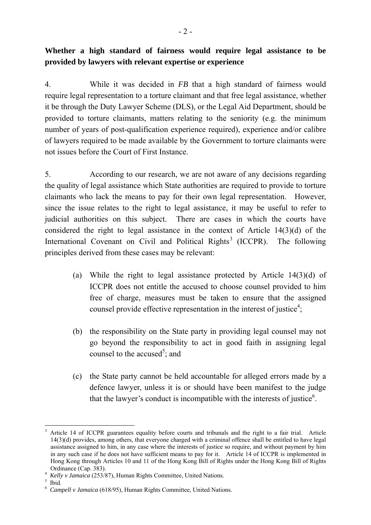4. While it was decided in *FB* that a high standard of fairness would require legal representation to a torture claimant and that free legal assistance, whether it be through the Duty Lawyer Scheme (DLS), or the Legal Aid Department, should be provided to torture claimants, matters relating to the seniority (e.g. the minimum number of years of post-qualification experience required), experience and/or calibre of lawyers required to be made available by the Government to torture claimants were not issues before the Court of First Instance.

5. According to our research, we are not aware of any decisions regarding the quality of legal assistance which State authorities are required to provide to torture claimants who lack the means to pay for their own legal representation. However, since the issue relates to the right to legal assistance, it may be useful to refer to judicial authorities on this subject. There are cases in which the courts have considered the right to legal assistance in the context of Article 14(3)(d) of the International Covenant on Civil and Political Rights<sup>3</sup> (ICCPR). The following principles derived from these cases may be relevant:

- (a) While the right to legal assistance protected by Article 14(3)(d) of ICCPR does not entitle the accused to choose counsel provided to him free of charge, measures must be taken to ensure that the assigned counsel provide effective representation in the interest of justice<sup>4</sup>;
- (b) the responsibility on the State party in providing legal counsel may not go beyond the responsibility to act in good faith in assigning legal counsel to the accused<sup>5</sup>; and
- (c) the State party cannot be held accountable for alleged errors made by a defence lawyer, unless it is or should have been manifest to the judge that the lawyer's conduct is incompatible with the interests of justice<sup>6</sup>.

<sup>&</sup>lt;u>.</u> 3 Article 14 of ICCPR guarantees equality before courts and tribunals and the right to a fair trial. Article 14(3)(d) provides, among others, that everyone charged with a criminal offence shall be entitled to have legal assistance assigned to him, in any case where the interests of justice so require, and without payment by him in any such case if he does not have sufficient means to pay for it. Article 14 of ICCPR is implemented in Hong Kong through Articles 10 and 11 of the Hong Kong Bill of Rights under the Hong Kong Bill of Rights

Ordinance (Cap. 383). 4 *Kelly v Jamaica* (253/87), Human Rights Committee, United Nations. 5

 $<sup>5</sup>$  Ibid.</sup>

<sup>6</sup> *Campell v Jamaica* (618/95), Human Rights Committee, United Nations.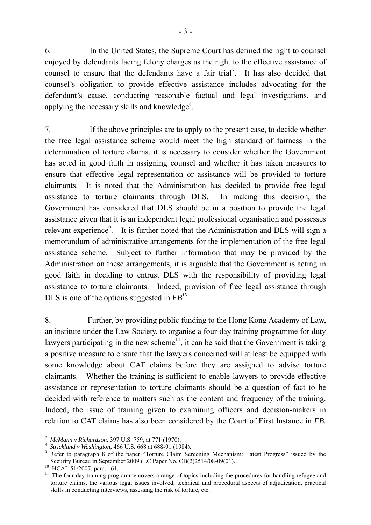6. In the United States, the Supreme Court has defined the right to counsel enjoyed by defendants facing felony charges as the right to the effective assistance of counsel to ensure that the defendants have a fair trial<sup>7</sup>. It has also decided that counsel's obligation to provide effective assistance includes advocating for the defendant's cause, conducting reasonable factual and legal investigations, and applying the necessary skills and knowledge $8$ .

7. If the above principles are to apply to the present case, to decide whether the free legal assistance scheme would meet the high standard of fairness in the determination of torture claims, it is necessary to consider whether the Government has acted in good faith in assigning counsel and whether it has taken measures to ensure that effective legal representation or assistance will be provided to torture claimants. It is noted that the Administration has decided to provide free legal assistance to torture claimants through DLS. In making this decision, the Government has considered that DLS should be in a position to provide the legal assistance given that it is an independent legal professional organisation and possesses relevant experience<sup>9</sup>. It is further noted that the Administration and DLS will sign a memorandum of administrative arrangements for the implementation of the free legal assistance scheme. Subject to further information that may be provided by the Administration on these arrangements, it is arguable that the Government is acting in good faith in deciding to entrust DLS with the responsibility of providing legal assistance to torture claimants. Indeed, provision of free legal assistance through DLS is one of the options suggested in *FB10.*

8. Further, by providing public funding to the Hong Kong Academy of Law, an institute under the Law Society, to organise a four-day training programme for duty lawyers participating in the new scheme<sup>11</sup>, it can be said that the Government is taking a positive measure to ensure that the lawyers concerned will at least be equipped with some knowledge about CAT claims before they are assigned to advise torture claimants. Whether the training is sufficient to enable lawyers to provide effective assistance or representation to torture claimants should be a question of fact to be decided with reference to matters such as the content and frequency of the training. Indeed, the issue of training given to examining officers and decision-makers in relation to CAT claims has also been considered by the Court of First Instance in *FB.* 

1

<sup>7</sup> *McMann v Richardson,* 397 U.S. 759, at 771 (1970). 8 *Strickland v Washington*, 466 U.S. 668 at 688-91 (1984). 9

Refer to paragraph 8 of the paper "Torture Claim Screening Mechanism: Latest Progress" issued by the Security Bureau in September 2009 (LC Paper No. CB(2)2514/08-09(01). 10 HCAL 51/2007, para. 161.

<sup>&</sup>lt;sup>10</sup> HCAL 51/2007, para. 161.<br><sup>11</sup> The four-day training programme covers a range of topics including the procedures for handling refugee and torture claims, the various legal issues involved, technical and procedural aspects of adjudication, practical skills in conducting interviews, assessing the risk of torture, etc.